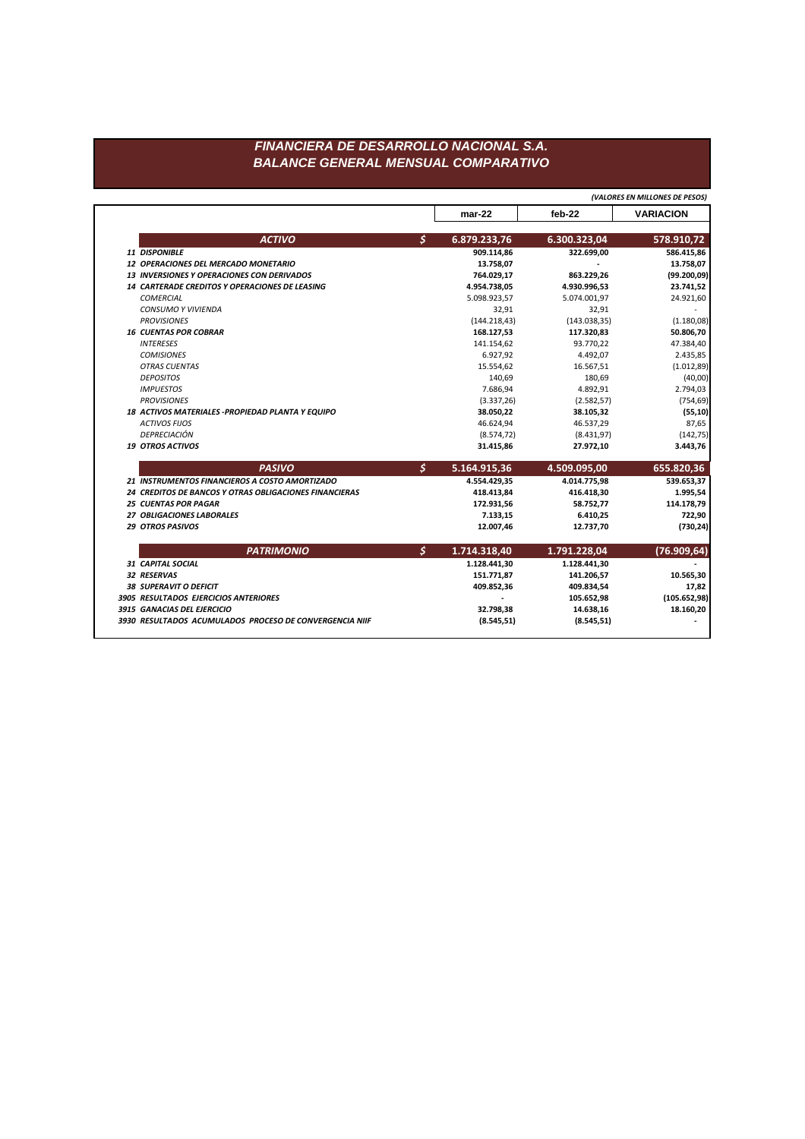|                   |                                                                                                                                                                                                                                                                                                                                                                                                                                                                                                                                                                                                                                                                                                                                                                                                                                                                                                                                       | $mar-22$      | $feb-22$                                                | <b>VARIACION</b>                                        |
|-------------------|---------------------------------------------------------------------------------------------------------------------------------------------------------------------------------------------------------------------------------------------------------------------------------------------------------------------------------------------------------------------------------------------------------------------------------------------------------------------------------------------------------------------------------------------------------------------------------------------------------------------------------------------------------------------------------------------------------------------------------------------------------------------------------------------------------------------------------------------------------------------------------------------------------------------------------------|---------------|---------------------------------------------------------|---------------------------------------------------------|
| <b>ACTIVO</b>     | \$                                                                                                                                                                                                                                                                                                                                                                                                                                                                                                                                                                                                                                                                                                                                                                                                                                                                                                                                    |               |                                                         | 578.910,72                                              |
|                   |                                                                                                                                                                                                                                                                                                                                                                                                                                                                                                                                                                                                                                                                                                                                                                                                                                                                                                                                       | 909.114,86    | 322.699,00                                              | 586.415,86                                              |
|                   |                                                                                                                                                                                                                                                                                                                                                                                                                                                                                                                                                                                                                                                                                                                                                                                                                                                                                                                                       | 13.758,07     |                                                         | 13.758,07                                               |
|                   |                                                                                                                                                                                                                                                                                                                                                                                                                                                                                                                                                                                                                                                                                                                                                                                                                                                                                                                                       | 764.029,17    | 863.229,26                                              | (99.200, 09)                                            |
|                   |                                                                                                                                                                                                                                                                                                                                                                                                                                                                                                                                                                                                                                                                                                                                                                                                                                                                                                                                       | 4.954.738,05  | 4.930.996,53                                            | 23.741,52                                               |
|                   |                                                                                                                                                                                                                                                                                                                                                                                                                                                                                                                                                                                                                                                                                                                                                                                                                                                                                                                                       | 5.098.923,57  | 5.074.001,97                                            | 24.921,60                                               |
|                   |                                                                                                                                                                                                                                                                                                                                                                                                                                                                                                                                                                                                                                                                                                                                                                                                                                                                                                                                       | 32,91         | 32,91                                                   |                                                         |
|                   |                                                                                                                                                                                                                                                                                                                                                                                                                                                                                                                                                                                                                                                                                                                                                                                                                                                                                                                                       | (144.218, 43) | (143.038, 35)                                           | (1.180,08)                                              |
|                   |                                                                                                                                                                                                                                                                                                                                                                                                                                                                                                                                                                                                                                                                                                                                                                                                                                                                                                                                       | 168.127,53    | 117.320,83                                              | 50.806,70                                               |
|                   |                                                                                                                                                                                                                                                                                                                                                                                                                                                                                                                                                                                                                                                                                                                                                                                                                                                                                                                                       | 141.154,62    | 93.770,22                                               | 47.384,40                                               |
|                   |                                                                                                                                                                                                                                                                                                                                                                                                                                                                                                                                                                                                                                                                                                                                                                                                                                                                                                                                       | 6.927,92      | 4.492,07                                                | 2.435,85                                                |
|                   |                                                                                                                                                                                                                                                                                                                                                                                                                                                                                                                                                                                                                                                                                                                                                                                                                                                                                                                                       | 15.554,62     | 16.567,51                                               | (1.012, 89)                                             |
|                   |                                                                                                                                                                                                                                                                                                                                                                                                                                                                                                                                                                                                                                                                                                                                                                                                                                                                                                                                       | 140,69        | 180,69                                                  | (40,00)                                                 |
|                   |                                                                                                                                                                                                                                                                                                                                                                                                                                                                                                                                                                                                                                                                                                                                                                                                                                                                                                                                       | 7.686,94      | 4.892,91                                                | 2.794,03                                                |
|                   |                                                                                                                                                                                                                                                                                                                                                                                                                                                                                                                                                                                                                                                                                                                                                                                                                                                                                                                                       |               |                                                         | (754, 69)                                               |
|                   |                                                                                                                                                                                                                                                                                                                                                                                                                                                                                                                                                                                                                                                                                                                                                                                                                                                                                                                                       |               |                                                         | (55, 10)                                                |
|                   |                                                                                                                                                                                                                                                                                                                                                                                                                                                                                                                                                                                                                                                                                                                                                                                                                                                                                                                                       | 46.624,94     | 46.537,29                                               | 87,65                                                   |
|                   |                                                                                                                                                                                                                                                                                                                                                                                                                                                                                                                                                                                                                                                                                                                                                                                                                                                                                                                                       |               |                                                         | (142, 75)                                               |
|                   |                                                                                                                                                                                                                                                                                                                                                                                                                                                                                                                                                                                                                                                                                                                                                                                                                                                                                                                                       | 31.415,86     | 27.972,10                                               | 3.443,76                                                |
| <b>PASIVO</b>     | $\mathcal{S}$                                                                                                                                                                                                                                                                                                                                                                                                                                                                                                                                                                                                                                                                                                                                                                                                                                                                                                                         | 5.164.915,36  | 4.509.095,00                                            | 655.820,36                                              |
|                   |                                                                                                                                                                                                                                                                                                                                                                                                                                                                                                                                                                                                                                                                                                                                                                                                                                                                                                                                       | 4.554.429,35  | 4.014.775,98                                            | 539.653,37                                              |
|                   |                                                                                                                                                                                                                                                                                                                                                                                                                                                                                                                                                                                                                                                                                                                                                                                                                                                                                                                                       | 418.413,84    | 416.418,30                                              | 1.995,54                                                |
|                   |                                                                                                                                                                                                                                                                                                                                                                                                                                                                                                                                                                                                                                                                                                                                                                                                                                                                                                                                       | 172.931,56    | 58.752,77                                               | 114.178,79                                              |
|                   |                                                                                                                                                                                                                                                                                                                                                                                                                                                                                                                                                                                                                                                                                                                                                                                                                                                                                                                                       | 7.133,15      | 6.410,25                                                | 722,90                                                  |
|                   |                                                                                                                                                                                                                                                                                                                                                                                                                                                                                                                                                                                                                                                                                                                                                                                                                                                                                                                                       | 12.007,46     | 12.737,70                                               | (730, 24)                                               |
| <b>PATRIMONIO</b> | \$                                                                                                                                                                                                                                                                                                                                                                                                                                                                                                                                                                                                                                                                                                                                                                                                                                                                                                                                    | 1.714.318,40  | 1.791.228,04                                            | (76.909, 64)                                            |
|                   |                                                                                                                                                                                                                                                                                                                                                                                                                                                                                                                                                                                                                                                                                                                                                                                                                                                                                                                                       | 1.128.441,30  | 1.128.441,30                                            |                                                         |
|                   |                                                                                                                                                                                                                                                                                                                                                                                                                                                                                                                                                                                                                                                                                                                                                                                                                                                                                                                                       | 151.771,87    | 141.206,57                                              | 10.565,30                                               |
|                   |                                                                                                                                                                                                                                                                                                                                                                                                                                                                                                                                                                                                                                                                                                                                                                                                                                                                                                                                       | 409.852,36    | 409.834,54                                              | 17,82                                                   |
|                   |                                                                                                                                                                                                                                                                                                                                                                                                                                                                                                                                                                                                                                                                                                                                                                                                                                                                                                                                       |               | 105.652,98                                              | (105.652,98)                                            |
|                   |                                                                                                                                                                                                                                                                                                                                                                                                                                                                                                                                                                                                                                                                                                                                                                                                                                                                                                                                       | 32.798,38     | 14.638,16                                               | 18.160,20                                               |
|                   |                                                                                                                                                                                                                                                                                                                                                                                                                                                                                                                                                                                                                                                                                                                                                                                                                                                                                                                                       | (8.545, 51)   | (8.545, 51)                                             |                                                         |
|                   | 11 DISPONIBLE<br>12 OPERACIONES DEL MERCADO MONETARIO<br>13 INVERSIONES Y OPERACIONES CON DERIVADOS<br>14 CARTERADE CREDITOS Y OPERACIONES DE LEASING<br><b>COMERCIAL</b><br><b>CONSUMO Y VIVIENDA</b><br><b>PROVISIONES</b><br><b>16 CUENTAS POR COBRAR</b><br><b>INTERESES</b><br><b>COMISIONES</b><br><b>OTRAS CUENTAS</b><br><b>DEPOSITOS</b><br><b>IMPUESTOS</b><br><b>PROVISIONES</b><br>18 ACTIVOS MATERIALES - PROPIEDAD PLANTA Y EQUIPO<br><b>ACTIVOS FIJOS</b><br>DEPRECIACIÓN<br><b>19 OTROS ACTIVOS</b><br>21 INSTRUMENTOS FINANCIEROS A COSTO AMORTIZADO<br>24 CREDITOS DE BANCOS Y OTRAS OBLIGACIONES FINANCIERAS<br><b>25 CUENTAS POR PAGAR</b><br>27 OBLIGACIONES LABORALES<br><b>29 OTROS PASIVOS</b><br><b>31 CAPITAL SOCIAL</b><br>32 RESERVAS<br><b>38 SUPERAVIT O DEFICIT</b><br>3905 RESULTADOS EJERCICIOS ANTERIORES<br>3915 GANACIAS DEL EJERCICIO<br>3930 RESULTADOS ACUMULADOS PROCESO DE CONVERGENCIA NIIF |               | 6.879.233,76<br>(3.337, 26)<br>38.050,22<br>(8.574, 72) | 6.300.323,04<br>(2.582, 57)<br>38.105,32<br>(8.431, 97) |

*(VALORES EN MILLONES DE PESOS)*

## *FINANCIERA DE DESARROLLO NACIONAL S.A. BALANCE GENERAL MENSUAL COMPARATIVO*